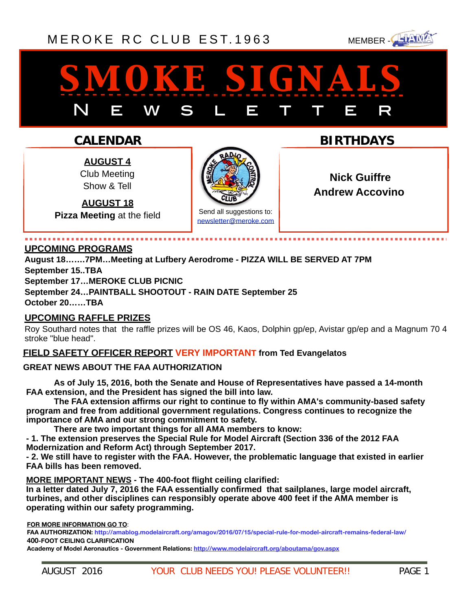## [MEROKE RC CLUB](http://www.meroke.com) EST. 1963 MEMBER-



# *smoke signals* N E W S L E T T E R

## **CALENDAR**

**AUGUST 4** Club Meeting Show & Tell

**AUGUST 18 Pizza Meeting** at the field



**Nick Guiffre** 

**BIRTHDAYS**

Send all suggestions to: [newsletter@meroke.com](mailto:newsletter@meroke.com) **Andrew Accovino** 

#### **UPCOMING PROGRAMS**

**August 18…….7PM…Meeting at Lufbery Aerodrome - PIZZA WILL BE SERVED AT 7PM September 15..TBA** 

**September 17…MEROKE CLUB PICNIC** 

**September 24…PAINTBALL SHOOTOUT - RAIN DATE September 25**

## **October 20……TBA**

## **UPCOMING RAFFLE PRIZES**

Roy Southard notes that the raffle prizes will be OS 46, Kaos, Dolphin gp/ep, Avistar gp/ep and a Magnum 70 4 stroke "blue head".

#### **FIELD SAFETY OFFICER REPORT VERY IMPORTANT from Ted Evangelatos**

#### **GREAT NEWS ABOUT THE FAA AUTHORIZATION**

**As of July 15, 2016, both the Senate and House of Representatives have passed a 14-month FAA extension, and the President has signed the bill into law.** 

**The FAA extension affirms our right to continue to fly within AMA's community-based safety program and free from additional government regulations. Congress continues to recognize the importance of AMA and our strong commitment to safety.** 

**There are two important things for all AMA members to know:** 

**- 1. The extension preserves the Special Rule for Model Aircraft (Section 336 of the 2012 FAA Modernization and Reform Act) through September 2017.** 

**- 2. We still have to register with the FAA. However, the problematic language that existed in earlier FAA bills has been removed.** 

**MORE IMPORTANT NEWS - The 400-foot flight ceiling clarified:** 

**In a letter dated July 7, 2016 the FAA essentially confirmed that sailplanes, large model aircraft, turbines, and other disciplines can responsibly operate above 400 feet if the AMA member is operating within our safety programming.** 

**FOR MORE INFORMATION GO TO**:

**FAA AUTHORIZATION: <http://amablog.modelaircraft.org/amagov/2016/07/15/special-rule-for-model-aircraft-remains-federal-law/> 400-FOOT CEILING CLARIFICATION** 

**Academy of Model Aeronautics - Government Relations:<http://www.modelaircraft.org/aboutama/gov.aspx>**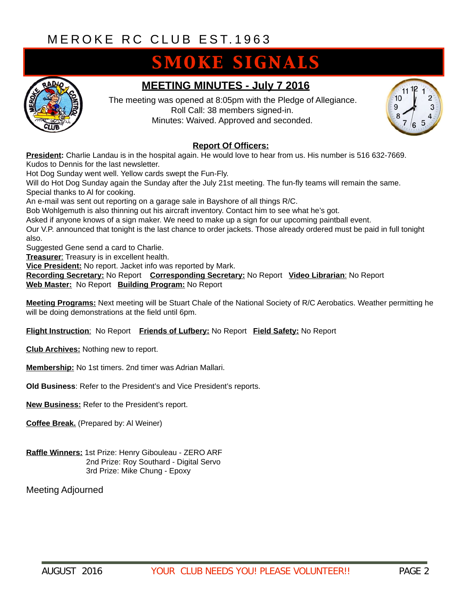# **SMOKE SIGNALS**



## **MEETING MINUTES - July 7 2016**

The meeting was opened at 8:05pm with the Pledge of Allegiance. Roll Call: 38 members signed-in. Minutes: Waived. Approved and seconded.



#### **Report Of Officers:**

**President:** Charlie Landau is in the hospital again. He would love to hear from us. His number is 516 632-7669. Kudos to Dennis for the last newsletter.

Hot Dog Sunday went well. Yellow cards swept the Fun-Fly.

Will do Hot Dog Sunday again the Sunday after the July 21st meeting. The fun-fly teams will remain the same. Special thanks to Al for cooking.

An e-mail was sent out reporting on a garage sale in Bayshore of all things R/C.

Bob Wohlgemuth is also thinning out his aircraft inventory. Contact him to see what he's got.

Asked if anyone knows of a sign maker. We need to make up a sign for our upcoming paintball event.

Our V.P. announced that tonight is the last chance to order jackets. Those already ordered must be paid in full tonight also.

Suggested Gene send a card to Charlie.

**Treasurer**: Treasury is in excellent health.

**Vice President:** No report. Jacket info was reported by Mark.

**Recording Secretary:** No Report **Corresponding Secretary:** No Report **Video Librarian**: No Report **Web Master:** No Report **Building Program:** No Report

**Meeting Programs:** Next meeting will be Stuart Chale of the National Society of R/C Aerobatics. Weather permitting he will be doing demonstrations at the field until 6pm.

**Flight Instruction**: No Report **Friends of Lufbery:** No Report **Field Safety:** No Report

**Club Archives:** Nothing new to report.

**Membership:** No 1st timers. 2nd timer was Adrian Mallari.

**Old Business**: Refer to the President's and Vice President's reports.

**New Business:** Refer to the President's report.

**Coffee Break.** (Prepared by: Al Weiner)

**Raffle Winners:** 1st Prize: Henry Gibouleau - ZERO ARF 2nd Prize: Roy Southard - Digital Servo 3rd Prize: Mike Chung - Epoxy

Meeting Adjourned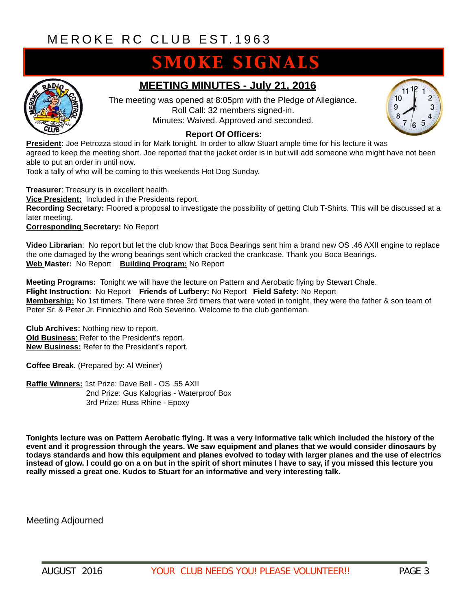# **SMOKE SIGNALS**



## **MEETING MINUTES - July 21, 2016**

The meeting was opened at 8:05pm with the Pledge of Allegiance. Roll Call: 32 members signed-in. Minutes: Waived. Approved and seconded.



#### **Report Of Officers:**

**President:** Joe Petrozza stood in for Mark tonight. In order to allow Stuart ample time for his lecture it was agreed to keep the meeting short. Joe reported that the jacket order is in but will add someone who might have not been able to put an order in until now.

Took a tally of who will be coming to this weekends Hot Dog Sunday.

**Treasurer**: Treasury is in excellent health. **Vice President:** Included in the Presidents report. **Recording Secretary:** Floored a proposal to investigate the possibility of getting Club T-Shirts. This will be discussed at a later meeting.

**Corresponding Secretary:** No Report

**Video Librarian**: No report but let the club know that Boca Bearings sent him a brand new OS .46 AXII engine to replace the one damaged by the wrong bearings sent which cracked the crankcase. Thank you Boca Bearings. **Web Master:** No Report **Building Program:** No Report

**Meeting Programs:** Tonight we will have the lecture on Pattern and Aerobatic flying by Stewart Chale. **Flight Instruction**: No Report **Friends of Lufbery:** No Report **Field Safety:** No Report **Membership:** No 1st timers. There were three 3rd timers that were voted in tonight. they were the father & son team of Peter Sr. & Peter Jr. Finnicchio and Rob Severino. Welcome to the club gentleman.

**Club Archives:** Nothing new to report. **Old Business**: Refer to the President's report. **New Business:** Refer to the President's report.

**Coffee Break.** (Prepared by: Al Weiner)

**Raffle Winners:** 1st Prize: Dave Bell - OS .55 AXII 2nd Prize: Gus Kalogrias - Waterproof Box 3rd Prize: Russ Rhine - Epoxy

**Tonights lecture was on Pattern Aerobatic flying. It was a very informative talk which included the history of the event and it progression through the years. We saw equipment and planes that we would consider dinosaurs by todays standards and how this equipment and planes evolved to today with larger planes and the use of electrics instead of glow. I could go on a on but in the spirit of short minutes I have to say, if you missed this lecture you really missed a great one. Kudos to Stuart for an informative and very interesting talk.** 

Meeting Adjourned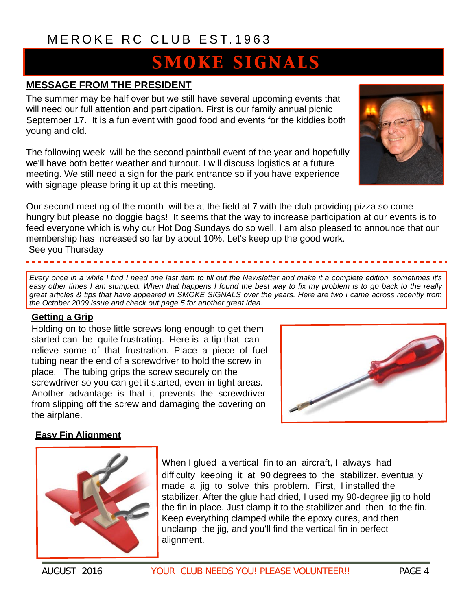# **SMOKE SIGNALS**

## **MESSAGE FROM THE PRESIDENT**

The summer may be half over but we still have several upcoming events that will need our full attention and participation. First is our family annual picnic September 17. It is a fun event with good food and events for the kiddies both young and old.

The following week will be the second paintball event of the year and hopefully we'll have both better weather and turnout. I will discuss logistics at a future meeting. We still need a sign for the park entrance so if you have experience with signage please bring it up at this meeting.



Our second meeting of the month will be at the field at 7 with the club providing pizza so come hungry but please no doggie bags! It seems that the way to increase participation at our events is to feed everyone which is why our Hot Dog Sundays do so well. I am also pleased to announce that our membership has increased so far by about 10%. Let's keep up the good work. See you Thursday

*Every once in a while I find I need one last item to fill out the Newsletter and make it a complete edition, sometimes it's easy other times I am stumped. When that happens I found the best way to fix my problem is to go back to the really great articles & tips that have appeared in SMOKE SIGNALS over the years. Here are two I came across recently from the October 2009 issue and check out page 5 for another great idea.*

## **Getting a Grip**

Holding on to those little screws long enough to get them started can be quite frustrating. Here is a tip that can relieve some of that frustration. Place a piece of fuel tubing near the end of a screwdriver to hold the screw in place. The tubing grips the screw securely on the screwdriver so you can get it started, even in tight areas. Another advantage is that it prevents the screwdriver from slipping off the screw and damaging the covering on the airplane.



## **Easy Fin Alignment**



When I glued a vertical fin to an aircraft, I always had difficulty keeping it at 90 degrees to the stabilizer. eventually made a jig to solve this problem. First, I installed the stabilizer. After the glue had dried, I used my 90-degree jig to hold the fin in place. Just clamp it to the stabilizer and then to the fin. Keep everything clamped while the epoxy cures, and then unclamp the jig, and you'll find the vertical fin in perfect alignment.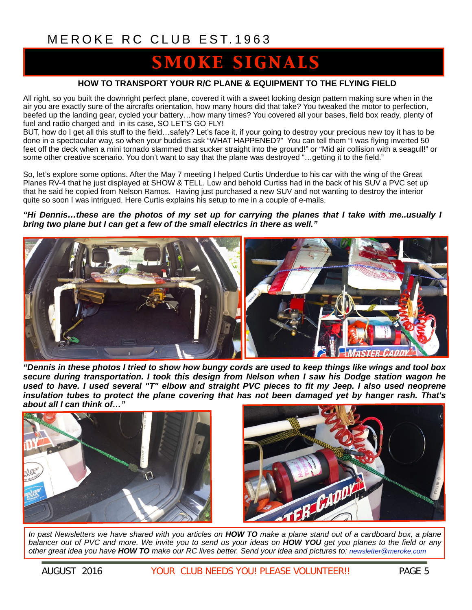# OKE SIGNALS

#### **HOW TO TRANSPORT YOUR R/C PLANE & EQUIPMENT TO THE FLYING FIELD**

All right, so you built the downright perfect plane, covered it with a sweet looking design pattern making sure when in the air you are exactly sure of the aircrafts orientation, how many hours did that take? You tweaked the motor to perfection, beefed up the landing gear, cycled your battery…how many times? You covered all your bases, field box ready, plenty of fuel and radio charged and in its case, SO LET'S GO FLY!

BUT, how do I get all this stuff to the field…safely? Let's face it, if your going to destroy your precious new toy it has to be done in a spectacular way, so when your buddies ask "WHAT HAPPENED?" You can tell them "I was flying inverted 50 feet off the deck when a mini tornado slammed that sucker straight into the ground!" or "Mid air collision with a seagull!" or some other creative scenario. You don't want to say that the plane was destroyed "…getting it to the field."

So, let's explore some options. After the May 7 meeting I helped Curtis Underdue to his car with the wing of the Great Planes RV-4 that he just displayed at SHOW & TELL. Low and behold Curtiss had in the back of his SUV a PVC set up that he said he copied from Nelson Ramos. Having just purchased a new SUV and not wanting to destroy the interior quite so soon I was intrigued. Here Curtis explains his setup to me in a couple of e-mails.

#### *"Hi Dennis…these are the photos of my set up for carrying the planes that I take with me..usually I bring two plane but I can get a few of the small electrics in there as well."*



*"Dennis in these photos I tried to show how bungy cords are used to keep things like wings and tool box secure during transportation. I took this design from Nelson when I saw his Dodge station wagon he used to have. I used several "T" elbow and straight PVC pieces to fit my Jeep. I also used neoprene insulation tubes to protect the plane covering that has not been damaged yet by hanger rash. That's about all I can think of…"* 





*In past Newsletters we have shared with you articles on HOW TO make a plane stand out of a cardboard box, a plane balancer out of PVC and more. We invite you to send us your ideas on HOW YOU get you planes to the field or any other great idea you have HOW TO make our RC lives better. Send your idea and pictures to: [newsletter@meroke.com](mailto:newsletter@meroke.com)*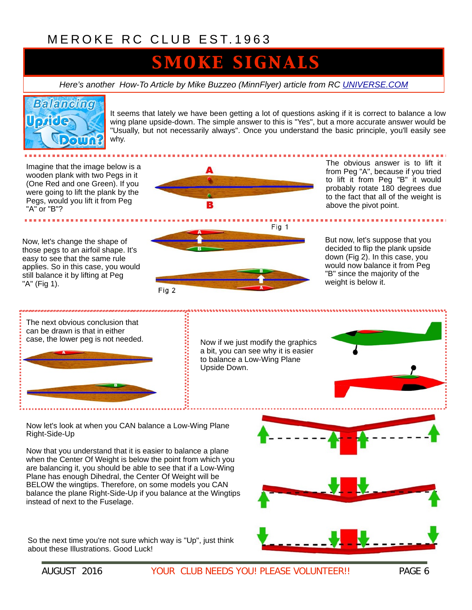# **MOKE SIGNALS**

*Here's another How-To Article by Mike Buzzeo (MinnFlyer) article from RC [UNIVERSE.COM](http://universe.com)*

# **Balancing**

It seems that lately we have been getting a lot of questions asking if it is correct to balance a low wing plane upside-down. The simple answer to this is "Yes", but a more accurate answer would be "Usually, but not necessarily always". Once you understand the basic principle, you'll easily see why.

Imagine that the image below is a wooden plank with two Pegs in it (One Red and one Green). If you were going to lift the plank by the Pegs, would you lift it from Peg "A" or "B"?

Now, let's change the shape of those pegs to an airfoil shape. It's easy to see that the same rule applies. So in this case, you would still balance it by lifting at Peg "A" (Fig 1).



The obvious answer is to lift it from Peg "A", because if you tried to lift it from Peg "B" it would probably rotate 180 degrees due to the fact that all of the weight is above the pivot point.



But now, let's suppose that you decided to flip the plank upside down (Fig 2). In this case, you would now balance it from Peg "B" since the majority of the weight is below it.



a bit, you can see why it is easier to balance a Low-Wing Plane

Now let's look at when you CAN balance a Low-Wing Plane Right-Side-Up

Now that you understand that it is easier to balance a plane when the Center Of Weight is below the point from which you are balancing it, you should be able to see that if a Low-Wing Plane has enough Dihedral, the Center Of Weight will be BELOW the wingtips. Therefore, on some models you CAN balance the plane Right-Side-Up if you balance at the Wingtips instead of next to the Fuselage.

So the next time you're not sure which way is "Up", just think about these Illustrations. Good Luck!